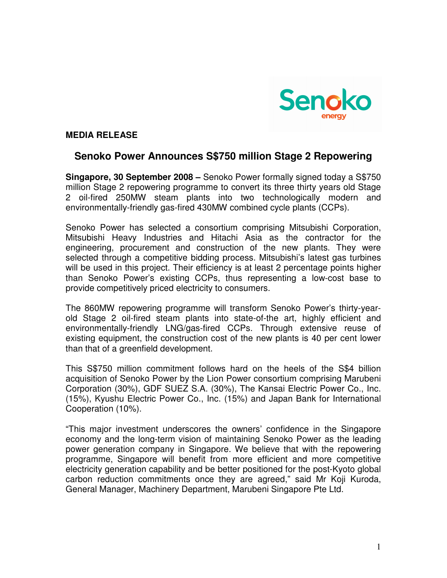

## **MEDIA RELEASE**

# **Senoko Power Announces S\$750 million Stage 2 Repowering**

**Singapore, 30 September 2008 –** Senoko Power formally signed today a S\$750 million Stage 2 repowering programme to convert its three thirty years old Stage 2 oil-fired 250MW steam plants into two technologically modern and environmentally-friendly gas-fired 430MW combined cycle plants (CCPs).

Senoko Power has selected a consortium comprising Mitsubishi Corporation, Mitsubishi Heavy Industries and Hitachi Asia as the contractor for the engineering, procurement and construction of the new plants. They were selected through a competitive bidding process. Mitsubishi's latest gas turbines will be used in this project. Their efficiency is at least 2 percentage points higher than Senoko Power's existing CCPs, thus representing a low-cost base to provide competitively priced electricity to consumers.

The 860MW repowering programme will transform Senoko Power's thirty-yearold Stage 2 oil-fired steam plants into state-of-the art, highly efficient and environmentally-friendly LNG/gas-fired CCPs. Through extensive reuse of existing equipment, the construction cost of the new plants is 40 per cent lower than that of a greenfield development.

This S\$750 million commitment follows hard on the heels of the S\$4 billion acquisition of Senoko Power by the Lion Power consortium comprising Marubeni Corporation (30%), GDF SUEZ S.A. (30%), The Kansai Electric Power Co., Inc. (15%), Kyushu Electric Power Co., Inc. (15%) and Japan Bank for International Cooperation (10%).

"This major investment underscores the owners' confidence in the Singapore economy and the long-term vision of maintaining Senoko Power as the leading power generation company in Singapore. We believe that with the repowering programme, Singapore will benefit from more efficient and more competitive electricity generation capability and be better positioned for the post-Kyoto global carbon reduction commitments once they are agreed," said Mr Koji Kuroda, General Manager, Machinery Department, Marubeni Singapore Pte Ltd.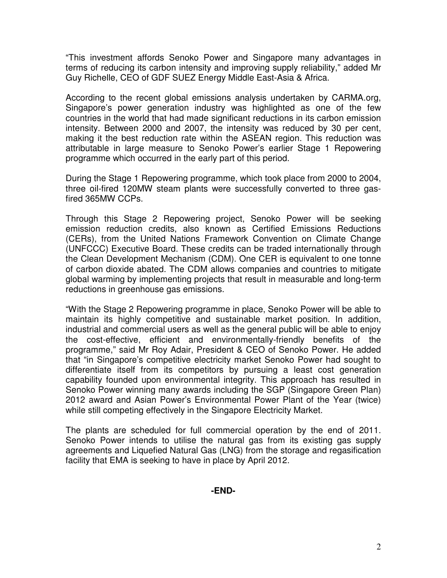"This investment affords Senoko Power and Singapore many advantages in terms of reducing its carbon intensity and improving supply reliability," added Mr Guy Richelle, CEO of GDF SUEZ Energy Middle East-Asia & Africa.

According to the recent global emissions analysis undertaken by CARMA.org, Singapore's power generation industry was highlighted as one of the few countries in the world that had made significant reductions in its carbon emission intensity. Between 2000 and 2007, the intensity was reduced by 30 per cent, making it the best reduction rate within the ASEAN region. This reduction was attributable in large measure to Senoko Power's earlier Stage 1 Repowering programme which occurred in the early part of this period.

During the Stage 1 Repowering programme, which took place from 2000 to 2004, three oil-fired 120MW steam plants were successfully converted to three gasfired 365MW CCPs.

Through this Stage 2 Repowering project, Senoko Power will be seeking emission reduction credits, also known as Certified Emissions Reductions (CERs), from the United Nations Framework Convention on Climate Change (UNFCCC) Executive Board. These credits can be traded internationally through the Clean Development Mechanism (CDM). One CER is equivalent to one tonne of carbon dioxide abated. The CDM allows companies and countries to mitigate global warming by implementing projects that result in measurable and long-term reductions in greenhouse gas emissions.

"With the Stage 2 Repowering programme in place, Senoko Power will be able to maintain its highly competitive and sustainable market position. In addition, industrial and commercial users as well as the general public will be able to enjoy the cost-effective, efficient and environmentally-friendly benefits of the programme," said Mr Roy Adair, President & CEO of Senoko Power. He added that "in Singapore's competitive electricity market Senoko Power had sought to differentiate itself from its competitors by pursuing a least cost generation capability founded upon environmental integrity. This approach has resulted in Senoko Power winning many awards including the SGP (Singapore Green Plan) 2012 award and Asian Power's Environmental Power Plant of the Year (twice) while still competing effectively in the Singapore Electricity Market.

The plants are scheduled for full commercial operation by the end of 2011. Senoko Power intends to utilise the natural gas from its existing gas supply agreements and Liquefied Natural Gas (LNG) from the storage and regasification facility that EMA is seeking to have in place by April 2012.

**-END-**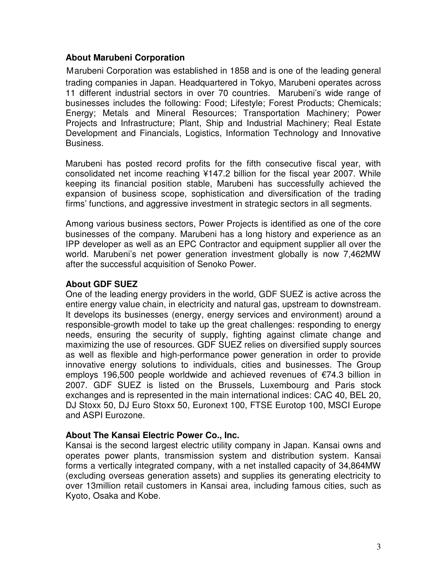## **About Marubeni Corporation**

Marubeni Corporation was established in 1858 and is one of the leading general trading companies in Japan. Headquartered in Tokyo, Marubeni operates across 11 different industrial sectors in over 70 countries. Marubeni's wide range of businesses includes the following: Food; Lifestyle; Forest Products; Chemicals; Energy; Metals and Mineral Resources; Transportation Machinery; Power Projects and Infrastructure; Plant, Ship and Industrial Machinery; Real Estate Development and Financials, Logistics, Information Technology and Innovative Business.

Marubeni has posted record profits for the fifth consecutive fiscal year, with consolidated net income reaching ¥147.2 billion for the fiscal year 2007. While keeping its financial position stable, Marubeni has successfully achieved the expansion of business scope, sophistication and diversification of the trading firms' functions, and aggressive investment in strategic sectors in all segments.

Among various business sectors, Power Projects is identified as one of the core businesses of the company. Marubeni has a long history and experience as an IPP developer as well as an EPC Contractor and equipment supplier all over the world. Marubeni's net power generation investment globally is now 7,462MW after the successful acquisition of Senoko Power.

## **About GDF SUEZ**

One of the leading energy providers in the world, GDF SUEZ is active across the entire energy value chain, in electricity and natural gas, upstream to downstream. It develops its businesses (energy, energy services and environment) around a responsible-growth model to take up the great challenges: responding to energy needs, ensuring the security of supply, fighting against climate change and maximizing the use of resources. GDF SUEZ relies on diversified supply sources as well as flexible and high-performance power generation in order to provide innovative energy solutions to individuals, cities and businesses. The Group employs 196,500 people worldwide and achieved revenues of €74.3 billion in 2007. GDF SUEZ is listed on the Brussels, Luxembourg and Paris stock exchanges and is represented in the main international indices: CAC 40, BEL 20, DJ Stoxx 50, DJ Euro Stoxx 50, Euronext 100, FTSE Eurotop 100, MSCI Europe and ASPI Eurozone.

## **About The Kansai Electric Power Co., Inc.**

Kansai is the second largest electric utility company in Japan. Kansai owns and operates power plants, transmission system and distribution system. Kansai forms a vertically integrated company, with a net installed capacity of 34,864MW (excluding overseas generation assets) and supplies its generating electricity to over 13million retail customers in Kansai area, including famous cities, such as Kyoto, Osaka and Kobe.